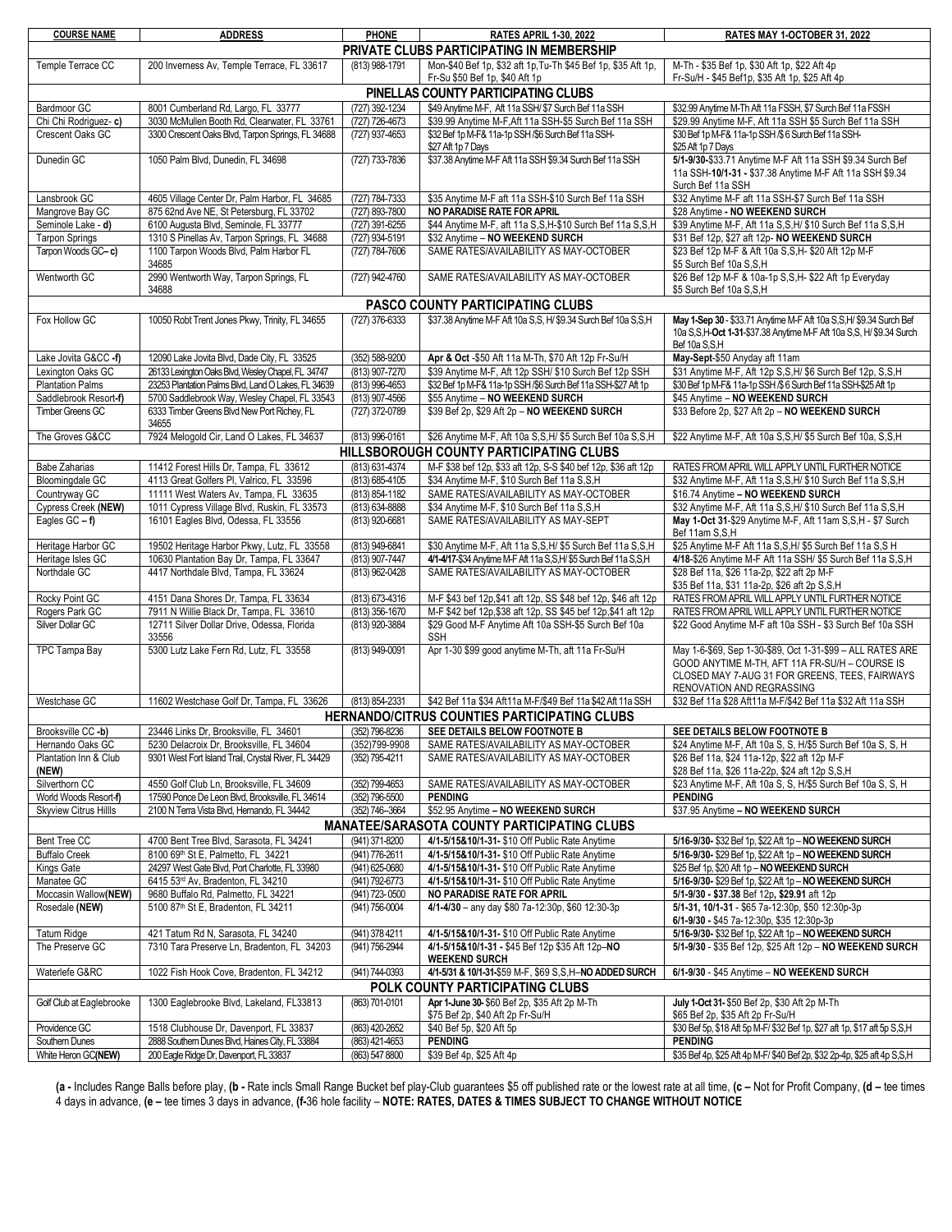| <b>COURSE NAME</b>                                                                                                                                                                        | <b>ADDRESS</b>                                                                              | <b>PHONE</b>     | <b>RATES APRIL 1-30, 2022</b>                                           | RATES MAY 1-OCTOBER 31, 2022                                                                                       |
|-------------------------------------------------------------------------------------------------------------------------------------------------------------------------------------------|---------------------------------------------------------------------------------------------|------------------|-------------------------------------------------------------------------|--------------------------------------------------------------------------------------------------------------------|
|                                                                                                                                                                                           |                                                                                             |                  | PRIVATE CLUBS PARTICIPATING IN MEMBERSHIP                               |                                                                                                                    |
| Temple Terrace CC                                                                                                                                                                         | 200 Inverness Av, Temple Terrace, FL 33617                                                  | (813) 988-1791   | Mon-\$40 Bef 1p, \$32 aft 1p, Tu-Th \$45 Bef 1p, \$35 Aft 1p,           | M-Th - \$35 Bef 1p, \$30 Aft 1p, \$22 Aft 4p                                                                       |
|                                                                                                                                                                                           |                                                                                             |                  | Fr-Su \$50 Bef 1p, \$40 Aft 1p                                          | Fr-Su/H - \$45 Bef1p, \$35 Aft 1p, \$25 Aft 4p                                                                     |
| PINELLAS COUNTY PARTICIPATING CLUBS                                                                                                                                                       |                                                                                             |                  |                                                                         |                                                                                                                    |
| (727) 392-1234<br>Bardmoor GC<br>8001 Cumberland Rd, Largo, FL 33777<br>\$49 Anvtime M-F. Aft 11a SSH/ \$7 Surch Bef 11a SSH<br>\$32.99 Anvtime M-Th Aft 11a FSSH. \$7 Surch Bef 11a FSSH |                                                                                             |                  |                                                                         |                                                                                                                    |
| Chi Chi Rodriguez- c)                                                                                                                                                                     | 3030 McMullen Booth Rd, Clearwater, FL 33761                                                | (727) 726-4673   | \$39.99 Anytime M-F, Aft 11a SSH-\$5 Surch Bef 11a SSH                  | \$29.99 Anytime M-F, Aft 11a SSH \$5 Surch Bef 11a SSH                                                             |
| Crescent Oaks GC                                                                                                                                                                          | 3300 Crescent Oaks Blvd. Tarpon Springs, FL 34688                                           | (727) 937-4653   | \$32 Bef 1p M-F& 11a-1p SSH /\$6 Surch Bef 11a SSH-                     | \$30 Bef 1p M-F& 11a-1p SSH /\$6 Surch Bef 11a SSH-                                                                |
|                                                                                                                                                                                           |                                                                                             |                  | \$27 Aft 1p 7 Days                                                      | \$25 Aft 1p 7 Days                                                                                                 |
| Dunedin GC                                                                                                                                                                                | 1050 Palm Blvd, Dunedin, FL 34698                                                           | (727) 733-7836   | \$37.38 Anytime M-F Aft 11a SSH \$9.34 Surch Bef 11a SSH                | 5/1-9/30-\$33.71 Anytime M-F Aft 11a SSH \$9.34 Surch Bef                                                          |
|                                                                                                                                                                                           |                                                                                             |                  |                                                                         | 11a SSH-10/1-31 - \$37.38 Anytime M-F Aft 11a SSH \$9.34                                                           |
|                                                                                                                                                                                           |                                                                                             |                  |                                                                         | Surch Bef 11a SSH                                                                                                  |
| Lansbrook GC                                                                                                                                                                              | 4605 Village Center Dr, Palm Harbor, FL 34685                                               | (727) 784-7333   | \$35 Anytime M-F aft 11a SSH-\$10 Surch Bef 11a SSH                     | \$32 Anytime M-F aft 11a SSH-\$7 Surch Bef 11a SSH                                                                 |
| Mangrove Bay GC                                                                                                                                                                           | 875 62nd Ave NE, St Petersburg, FL 33702                                                    | (727) 893-7800   | NO PARADISE RATE FOR APRIL                                              | \$28 Anytime - NO WEEKEND SURCH                                                                                    |
| Seminole Lake - d)                                                                                                                                                                        | 6100 Augusta Blvd, Seminole, FL 33777                                                       | (727) 391-6255   | \$44 Anytime M-F, aft 11a S, S, H-\$10 Surch Bef 11a S, S, H            | \$39 Anytime M-F, Aft 11a S, S, H/ \$10 Surch Bef 11a S, S, H                                                      |
| <b>Tarpon Springs</b>                                                                                                                                                                     | 1310 S Pinellas Av, Tarpon Springs, FL 34688                                                | (727) 934-5191   | \$32 Anytime - NO WEEKEND SURCH                                         | \$31 Bef 12p, \$27 aft 12p- NO WEEKEND SURCH                                                                       |
| Tarpon Woods GC-c)                                                                                                                                                                        | 1100 Tarpon Woods Blvd, Palm Harbor FL                                                      | (727) 784-7606   | SAME RATES/AVAILABILITY AS MAY-OCTOBER                                  | \$23 Bef 12p M-F & Aft 10a S, S, H- \$20 Aft 12p M-F                                                               |
|                                                                                                                                                                                           | 34685                                                                                       |                  |                                                                         | \$5 Surch Bef 10a S,S,H                                                                                            |
| Wentworth GC                                                                                                                                                                              | 2990 Wentworth Way, Tarpon Springs, FL<br>34688                                             | (727) 942-4760   | SAME RATES/AVAILABILITY AS MAY-OCTOBER                                  | \$26 Bef 12p M-F & 10a-1p S, S, H- \$22 Aft 1p Everyday<br>\$5 Surch Bef 10a S,S,H                                 |
|                                                                                                                                                                                           |                                                                                             |                  |                                                                         |                                                                                                                    |
|                                                                                                                                                                                           |                                                                                             |                  | PASCO COUNTY PARTICIPATING CLUBS                                        |                                                                                                                    |
| Fox Hollow GC                                                                                                                                                                             | 10050 Robt Trent Jones Pkwy, Trinity, FL 34655                                              | (727) 376-6333   | \$37.38 Anytime M-F Aft 10a S,S, H/ \$9.34 Surch Bef 10a S,S,H          | May 1-Sep 30 - \$33.71 Anytime M-F Aft 10a S, S, H/ \$9.34 Surch Bef                                               |
|                                                                                                                                                                                           |                                                                                             |                  |                                                                         | 10a S, S, H-Oct 1-31-\$37.38 Anytime M-F Aft 10a S, S, H/ \$9.34 Surch                                             |
| Lake Jovita G&CC -f)                                                                                                                                                                      | 12090 Lake Jovita Blvd. Dade City. FL 33525                                                 | (352) 588-9200   | Apr & Oct -\$50 Aft 11a M-Th, \$70 Aft 12p Fr-Su/H                      | Bef 10a S,S,H<br>May-Sept-\$50 Anyday aft 11am                                                                     |
| Lexington Oaks GC                                                                                                                                                                         | 26133 Lexington Oaks Blvd, Wesley Chapel, FL 34747                                          | (813) 907-7270   | \$39 Anytime M-F, Aft 12p SSH/ \$10 Surch Bef 12p SSH                   | \$31 Anytime M-F, Aft 12p S, S, H/ \$6 Surch Bef 12p, S, S, H                                                      |
| <b>Plantation Palms</b>                                                                                                                                                                   | 23253 Plantation Palms Blvd, Land O Lakes, FL 34639                                         | (813) 996-4653   | \$32 Bef 1p M-F& 11a-1p SSH /\$6 Surch Bef 11a SSH-\$27 Aft 1p          | \$30 Bef 1p M-F& 11a-1p SSH /\$6 Surch Bef 11a SSH-\$25 Aft 1p                                                     |
| Saddlebrook Resort-f)                                                                                                                                                                     | 5700 Saddlebrook Way, Wesley Chapel, FL 33543                                               | (813) 907-4566   | \$55 Anytime - NO WEEKEND SURCH                                         | \$45 Anytime - NO WEEKEND SURCH                                                                                    |
| Timber Greens GC                                                                                                                                                                          | 6333 Timber Greens Blvd New Port Richey, FL                                                 | (727) 372-0789   | \$39 Bef 2p, \$29 Aft 2p - NO WEEKEND SURCH                             | \$33 Before 2p, \$27 Aft 2p - NO WEEKEND SURCH                                                                     |
|                                                                                                                                                                                           | 34655                                                                                       |                  |                                                                         |                                                                                                                    |
| The Groves G&CC                                                                                                                                                                           | 7924 Melogold Cir, Land O Lakes, FL 34637                                                   | (813) 996-0161   | \$26 Anytime M-F, Aft 10a S, S, H/ \$5 Surch Bef 10a S, S, H            | \$22 Anytime M-F, Aft 10a S, S, H/ \$5 Surch Bef 10a, S, S, H                                                      |
| HILLSBOROUGH COUNTY PARTICIPATING CLUBS                                                                                                                                                   |                                                                                             |                  |                                                                         |                                                                                                                    |
| <b>Babe Zaharias</b>                                                                                                                                                                      | 11412 Forest Hills Dr, Tampa, FL 33612                                                      | (813) 631-4374   | M-F \$38 bef 12p, \$33 aft 12p, S-S \$40 bef 12p, \$36 aft 12p          | RATES FROM APRIL WILL APPLY UNTIL FURTHER NOTICE                                                                   |
| <b>Bloomingdale GC</b>                                                                                                                                                                    | 4113 Great Golfers PI, Valrico, FL 33596                                                    | (813) 685-4105   | \$34 Anytime M-F, \$10 Surch Bef 11a S, S, H                            | \$32 Anytime M-F, Aft 11a S, S, H/ \$10 Surch Bef 11a S, S, H                                                      |
| Countryway GC                                                                                                                                                                             | 11111 West Waters Av, Tampa, FL 33635                                                       | (813) 854-1182   | SAME RATES/AVAILABILITY AS MAY-OCTOBER                                  | \$16.74 Anytime - NO WEEKEND SURCH                                                                                 |
| Cypress Creek (NEW)                                                                                                                                                                       | 1011 Cypress Village Blvd, Ruskin, FL 33573                                                 | (813) 634-8888   | \$34 Anytime M-F, \$10 Surch Bef 11a S,S,H                              | \$32 Anytime M-F, Aft 11a S, S, H/ \$10 Surch Bef 11a S, S, H                                                      |
| Eagles $GC - f$ )                                                                                                                                                                         | 16101 Eagles Blvd, Odessa, FL 33556                                                         | (813) 920-6681   | SAME RATES/AVAILABILITY AS MAY-SEPT                                     | May 1-Oct 31-\$29 Anytime M-F, Aft 11am S, S, H - \$7 Surch                                                        |
|                                                                                                                                                                                           |                                                                                             |                  |                                                                         | Bef 11am S.S.H                                                                                                     |
| Heritage Harbor GC                                                                                                                                                                        | 19502 Heritage Harbor Pkwy, Lutz, FL 33558                                                  | (813) 949-6841   | \$30 Anytime M-F, Aft 11a S, S, H/ \$5 Surch Bef 11a S, S, H            | \$25 Anytime M-F Aft 11a S, S, H/ \$5 Surch Bef 11a S, S H                                                         |
| Heritage Isles GC                                                                                                                                                                         | 10630 Plantation Bay Dr, Tampa, FL 33647                                                    | $(813)$ 907-7447 | 4/1-4/17-\$34 Anytime M-F Aft 11a S, S, H/ \$5 Surch Bef 11a S, S, H    | 4/18-\$26 Anytime M-F Aft 11a SSH/ \$5 Surch Bef 11a S, S, H                                                       |
| Northdale GC                                                                                                                                                                              | 4417 Northdale Blvd, Tampa, FL 33624                                                        | (813) 962-0428   | SAME RATES/AVAILABILITY AS MAY-OCTOBER                                  | \$28 Bef 11a, \$26 11a-2p, \$22 aft 2p M-F                                                                         |
|                                                                                                                                                                                           |                                                                                             |                  |                                                                         | \$35 Bef 11a, \$31 11a-2p, \$26 aft 2p S,S,H                                                                       |
| Rocky Point GC                                                                                                                                                                            | 4151 Dana Shores Dr, Tampa, FL 33634                                                        | (813) 673-4316   | M-F \$43 bef 12p, \$41 aft 12p, SS \$48 bef 12p, \$46 aft 12p           | RATES FROM APRIL WILL APPLY UNTIL FURTHER NOTICE                                                                   |
| Rogers Park GC                                                                                                                                                                            | 7911 N Willie Black Dr, Tampa, FL 33610                                                     | (813) 356-1670   | M-F \$42 bef 12p, \$38 aft 12p, SS \$45 bef 12p, \$41 aft 12p           | RATES FROM APRIL WILL APPLY UNTIL FURTHER NOTICE                                                                   |
| Silver Dollar GC                                                                                                                                                                          | 12711 Silver Dollar Drive, Odessa, Florida                                                  | (813) 920-3884   | \$29 Good M-F Anytime Aft 10a SSH-\$5 Surch Bef 10a                     | \$22 Good Anytime M-F aft 10a SSH - \$3 Surch Bef 10a SSH                                                          |
|                                                                                                                                                                                           | 33556                                                                                       |                  | <b>SSH</b>                                                              |                                                                                                                    |
| TPC Tampa Bay                                                                                                                                                                             | 5300 Lutz Lake Fern Rd, Lutz, FL 33558                                                      | (813) 949-0091   | Apr 1-30 \$99 good anytime M-Th, aft 11a Fr-Su/H                        | May 1-6-\$69, Sep 1-30-\$89, Oct 1-31-\$99 - ALL RATES ARE                                                         |
|                                                                                                                                                                                           |                                                                                             |                  |                                                                         | GOOD ANYTIME M-TH, AFT 11A FR-SU/H - COURSE IS                                                                     |
|                                                                                                                                                                                           |                                                                                             |                  |                                                                         | CLOSED MAY 7-AUG 31 FOR GREENS, TEES, FAIRWAYS                                                                     |
|                                                                                                                                                                                           |                                                                                             |                  |                                                                         | RENOVATION AND REGRASSING                                                                                          |
| Westchase GC                                                                                                                                                                              | 11602 Westchase Golf Dr, Tampa, FL 33626                                                    | (813) 854-2331   | \$42 Bef 11a \$34 Aft11a M-F/\$49 Bef 11a \$42 Aft 11a SSH              | \$32 Bef 11a \$28 Aft11a M-F/\$42 Bef 11a \$32 Aft 11a SSH                                                         |
| HERNANDO/CITRUS COUNTIES PARTICIPATING CLUBS                                                                                                                                              |                                                                                             |                  |                                                                         |                                                                                                                    |
| Brooksville CC -b)                                                                                                                                                                        | 23446 Links Dr, Brooksville, FL 34601                                                       | (352) 796-8236   | SEE DETAILS BELOW FOOTNOTE B                                            | SEE DETAILS BELOW FOOTNOTE B                                                                                       |
| Hernando Oaks GC                                                                                                                                                                          | 5230 Delacroix Dr, Brooksville, FL 34604                                                    | (352)799-9908    | SAME RATES/AVAILABILITY AS MAY-OCTOBER                                  | \$24 Anytime M-F, Aft 10a S, S, H/\$5 Surch Bef 10a S, S, H                                                        |
| Plantation Inn & Club                                                                                                                                                                     | 9301 West Fort Island Trail, Crystal River, FL 34429                                        | (352) 795-4211   | SAME RATES/AVAILABILITY AS MAY-OCTOBER                                  | \$26 Bef 11a, \$24 11a-12p, \$22 aft 12p M-F                                                                       |
| (NEW)                                                                                                                                                                                     |                                                                                             |                  |                                                                         | \$28 Bef 11a, \$26 11a-22p, \$24 aft 12p S,S,H                                                                     |
| Silverthorn CC                                                                                                                                                                            | 4550 Golf Club Ln, Brooksville, FL 34609<br>17590 Ponce De Leon Blvd. Brooksville. FL 34614 | (352) 799-4653   | SAME RATES/AVAILABILITY AS MAY-OCTOBER                                  | \$23 Anytime M-F, Aft 10a S, S, H/\$5 Surch Bef 10a S, S, H                                                        |
| World Woods Resort-f)                                                                                                                                                                     |                                                                                             | (352) 796-5500   | <b>PENDING</b>                                                          | <b>PENDING</b>                                                                                                     |
| <b>Skyview Citrus Hillls</b>                                                                                                                                                              | 2100 N Terra Vista Blvd, Hernando, FL 34442                                                 | (352) 746-3664   | \$52.95 Anytime - NO WEEKEND SURCH                                      | \$37.95 Anytime - NO WEEKEND SURCH                                                                                 |
| <b>MANATEE/SARASOTA COUNTY PARTICIPATING CLUBS</b>                                                                                                                                        |                                                                                             |                  |                                                                         |                                                                                                                    |
| Bent Tree CC                                                                                                                                                                              | 4700 Bent Tree Blvd, Sarasota, FL 34241                                                     | (941) 371-8200   | 4/1-5/15&10/1-31- \$10 Off Public Rate Anytime                          | 5/16-9/30- \$32 Bef 1p, \$22 Aft 1p - NO WEEKEND SURCH                                                             |
| <b>Buffalo Creek</b>                                                                                                                                                                      | 8100 69th St E, Palmetto, FL 34221                                                          | (941) 776-2611   | 4/1-5/15&10/1-31- \$10 Off Public Rate Anytime                          | 5/16-9/30- \$29 Bef 1p, \$22 Aft 1p - NO WEEKEND SURCH                                                             |
| Kings Gate                                                                                                                                                                                | 24297 West Gate Blvd, Port Charlotte, FL 33980                                              | (941) 625-0680   | 4/1-5/15&10/1-31- \$10 Off Public Rate Anytime                          | \$25 Bef 1p, \$20 Aft 1p - NO WEEKEND SURCH                                                                        |
| Manatee GC                                                                                                                                                                                | 6415 53rd Av, Bradenton, FL 34210                                                           | (941) 792-6773   | 4/1-5/15&10/1-31- \$10 Off Public Rate Anytime                          | 5/16-9/30- \$29 Bef 1p, \$22 Aft 1p - NO WEEKEND SURCH                                                             |
| Moccasin Wallow(NEW)                                                                                                                                                                      | 9680 Buffalo Rd, Palmetto, FL 34221                                                         | (941) 723-0500   | NO PARADISE RATE FOR APRIL                                              | 5/1-9/30 - \$37.38 Bef 12p, \$29.91 aft 12p                                                                        |
| Rosedale (NEW)                                                                                                                                                                            | 5100 87th St E, Bradenton, FL 34211                                                         | (941) 756-0004   | 4/1-4/30 - any day \$80 7a-12:30p, \$60 12:30-3p                        | 5/1-31, 10/1-31 - \$65 7a-12:30p, \$50 12:30p-3p                                                                   |
|                                                                                                                                                                                           |                                                                                             |                  |                                                                         | 6/1-9/30 - \$45 7a-12:30p, \$35 12:30p-3p                                                                          |
| <b>Tatum Ridge</b><br>The Preserve GC                                                                                                                                                     | 421 Tatum Rd N, Sarasota, FL 34240                                                          | (941) 378 4211   | 4/1-5/15&10/1-31- \$10 Off Public Rate Anytime                          | 5/16-9/30- \$32 Bef 1p, \$22 Aft 1p - NO WEEKEND SURCH<br>5/1-9/30 - \$35 Bef 12p, \$25 Aft 12p - NO WEEKEND SURCH |
|                                                                                                                                                                                           | 7310 Tara Preserve Ln, Bradenton, FL 34203                                                  | (941) 756-2944   | 4/1-5/15&10/1-31 - \$45 Bef 12p \$35 Aft 12p-NO<br><b>WEEKEND SURCH</b> |                                                                                                                    |
| Waterlefe G&RC<br>1022 Fish Hook Cove, Bradenton, FL 34212<br>(941) 744-0393<br>4/1-5/31 & 10/1-31-\$59 M-F, \$69 S, S, H-NO ADDED SURCH<br>6/1-9/30 - \$45 Anytime - NO WEEKEND SURCH    |                                                                                             |                  |                                                                         |                                                                                                                    |
|                                                                                                                                                                                           |                                                                                             |                  | POLK COUNTY PARTICIPATING CLUBS                                         |                                                                                                                    |
|                                                                                                                                                                                           | 1300 Eaglebrooke Blvd, Lakeland, FL33813                                                    | (863) 701-0101   | Apr 1-June 30- \$60 Bef 2p, \$35 Aft 2p M-Th                            |                                                                                                                    |
| Golf Club at Eaglebrooke                                                                                                                                                                  |                                                                                             |                  | \$75 Bef 2p, \$40 Aft 2p Fr-Su/H                                        | July 1-Oct 31- \$50 Bef 2p, \$30 Aft 2p M-Th<br>\$65 Bef 2p, \$35 Aft 2p Fr-Su/H                                   |
| Providence GC                                                                                                                                                                             | 1518 Clubhouse Dr, Davenport, FL 33837                                                      | (863) 420-2652   | \$40 Bef 5p, \$20 Aft 5p                                                | \$30 Bef 5p, \$18 Aft 5p M-F/ \$32 Bef 1p, \$27 aft 1p, \$17 aft 5p S, S, H                                        |
| Southern Dunes                                                                                                                                                                            | 2888 Southern Dunes Blvd, Haines City, FL 33884                                             | (863) 421-4653   | <b>PENDING</b>                                                          | <b>PENDING</b>                                                                                                     |
| White Heron GC(NEW)                                                                                                                                                                       | 200 Eagle Ridge Dr, Davenport, FL 33837                                                     | (863) 547 8800   | \$39 Bef 4p, \$25 Aft 4p                                                | \$35 Bef 4p, \$25 Aft 4p M-F/ \$40 Bef 2p, \$32 2p-4p, \$25 aft 4p S, S, H                                         |

(a - Includes Range Balls before play, (b - Rate incls Small Range Bucket bef play-Club guarantees \$5 off published rate or the lowest rate at all time, (c - Not for Profit Company, (d - tee times 4 days in advance, **(e –** tee times 3 days in advance, **(f-**36 hole facility – **NOTE: RATES, DATES & TIMES SUBJECT TO CHANGE WITHOUT NOTICE**